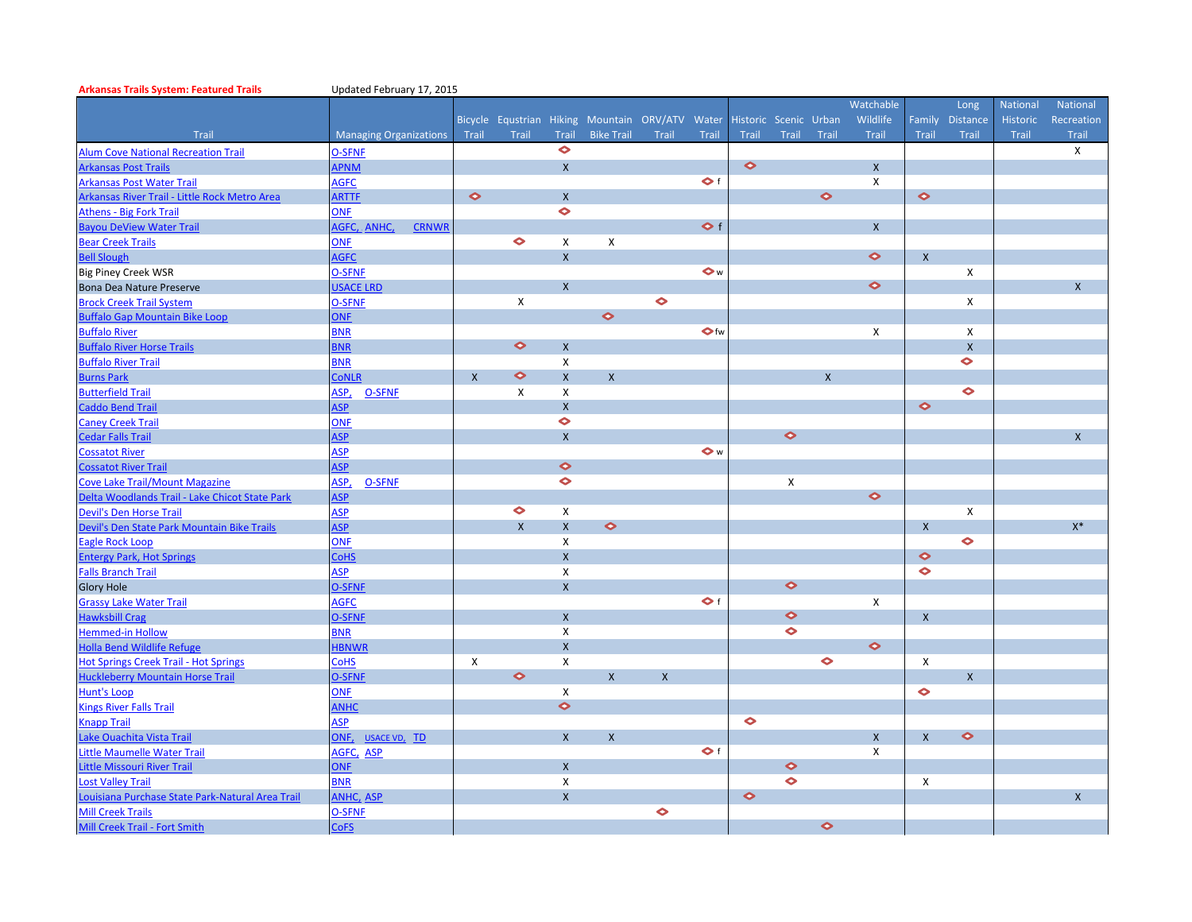| <b>Arkansas Trails System: Featured Trails</b>  | Updated February 17, 2015     |              |              |              |                                                 |                         |                     |                       |                      |              |              |                           |                 |              |                |
|-------------------------------------------------|-------------------------------|--------------|--------------|--------------|-------------------------------------------------|-------------------------|---------------------|-----------------------|----------------------|--------------|--------------|---------------------------|-----------------|--------------|----------------|
|                                                 |                               |              |              |              |                                                 |                         |                     |                       |                      |              | Watchable    |                           | Long            | National     | National       |
|                                                 |                               |              |              |              | Bicycle Equstrian Hiking Mountain ORV/ATV Water |                         |                     | Historic Scenic Urban |                      |              | Wildlife     |                           | Family Distance | Historic     | Recreation     |
| Trail                                           | <b>Managing Organizations</b> | Trail        | Trail        | Trail        | <b>Bike Trail</b>                               | Trail                   | Trail               | Trail                 | Trail                | Trail        | <b>Trail</b> | Trail                     | Trail           | <b>Trail</b> | Trail          |
| <b>Alum Cove National Recreation Trail</b>      | <b>O-SFNF</b>                 |              |              | $\bullet$    |                                                 |                         |                     |                       |                      |              |              |                           |                 |              | X              |
| <b>Arkansas Post Trails</b>                     | <b>APNM</b>                   |              |              | $\mathsf{x}$ |                                                 |                         |                     | $\bullet$             |                      |              | $\mathsf{X}$ |                           |                 |              |                |
| <b>Arkansas Post Water Trail</b>                | <b>AGFC</b>                   |              |              |              |                                                 |                         | $\bullet$ f         |                       |                      |              | X            |                           |                 |              |                |
| Arkansas River Trail - Little Rock Metro Area   | <b>ARTTF</b>                  | $\bullet$    |              | $\mathsf{x}$ |                                                 |                         |                     |                       |                      | $\bullet$    |              | $\bullet$                 |                 |              |                |
| <b>Athens - Big Fork Trail</b>                  | <b>ONF</b>                    |              |              | $\bullet$    |                                                 |                         |                     |                       |                      |              |              |                           |                 |              |                |
| <b>Bayou DeView Water Trail</b>                 | AGFC, ANHC,<br><b>CRNWR</b>   |              |              |              |                                                 |                         | $\leftrightarrow$ f |                       |                      |              | $\mathsf{x}$ |                           |                 |              |                |
| <b>Bear Creek Trails</b>                        | <b>ONF</b>                    |              | $\bullet$    | X            | X                                               |                         |                     |                       |                      |              |              |                           |                 |              |                |
| <b>Bell Slough</b>                              | <b>AGFC</b>                   |              |              | $\mathsf{x}$ |                                                 |                         |                     |                       |                      |              | $\bullet$    | $\mathsf{X}$              |                 |              |                |
| <b>Big Piney Creek WSR</b>                      | <b>O-SFNF</b>                 |              |              |              |                                                 |                         | $\bullet$ w         |                       |                      |              |              |                           | X               |              |                |
| Bona Dea Nature Preserve                        | <b>USACE LRD</b>              |              |              | $\mathsf{x}$ |                                                 |                         |                     |                       |                      |              | $\bullet$    |                           |                 |              | $\mathsf{X}$   |
| <b>Brock Creek Trail System</b>                 | O-SFNF                        |              | X            |              |                                                 | $\bullet$               |                     |                       |                      |              |              |                           | X               |              |                |
| <b>Buffalo Gap Mountain Bike Loop</b>           | <b>ONF</b>                    |              |              |              | $\bullet$                                       |                         |                     |                       |                      |              |              |                           |                 |              |                |
| <b>Buffalo River</b>                            | <b>BNR</b>                    |              |              |              |                                                 |                         | $\bullet$ fw        |                       |                      |              | X            |                           | X               |              |                |
| <b>Buffalo River Horse Trails</b>               | <b>BNR</b>                    |              | $\bullet$    | $\mathsf{x}$ |                                                 |                         |                     |                       |                      |              |              |                           | $\mathsf{x}$    |              |                |
| <b>Buffalo River Trail</b>                      | <b>BNR</b>                    |              |              | X            |                                                 |                         |                     |                       |                      |              |              |                           | $\bullet$       |              |                |
| <b>Burns Park</b>                               | <b>CONLR</b>                  | $\mathsf{x}$ | $\bullet$    | $\mathsf{x}$ | $\mathsf{x}$                                    |                         |                     |                       |                      | $\mathsf{x}$ |              |                           |                 |              |                |
| <b>Butterfield Trail</b>                        | ASP,<br><b>O-SFNE</b>         |              | X            | X            |                                                 |                         |                     |                       |                      |              |              |                           | $\bullet$       |              |                |
| <b>Caddo Bend Trail</b>                         | <b>ASP</b>                    |              |              | $\mathsf{x}$ |                                                 |                         |                     |                       |                      |              |              | $\bullet$                 |                 |              |                |
| <b>Caney Creek Trail</b>                        | <b>ONF</b>                    |              |              | $\bullet$    |                                                 |                         |                     |                       |                      |              |              |                           |                 |              |                |
| <b>Cedar Falls Trail</b>                        | <b>ASP</b>                    |              |              | $\mathsf{x}$ |                                                 |                         |                     |                       | $\bullet$            |              |              |                           |                 |              | X              |
| <b>Cossatot River</b>                           | <b>ASP</b>                    |              |              |              |                                                 |                         | $\bullet$ w         |                       |                      |              |              |                           |                 |              |                |
| <b>Cossatot River Trail</b>                     | <b>ASP</b>                    |              |              | $\bullet$    |                                                 |                         |                     |                       |                      |              |              |                           |                 |              |                |
| <b>Cove Lake Trail/Mount Magazine</b>           | ASP,<br><b>O-SFNF</b>         |              |              | $\bullet$    |                                                 |                         |                     |                       | X                    |              |              |                           |                 |              |                |
| Delta Woodlands Trail - Lake Chicot State Park  | <b>ASP</b>                    |              |              |              |                                                 |                         |                     |                       |                      |              | $\bullet$    |                           |                 |              |                |
| Devil's Den Horse Trail                         | <b>ASP</b>                    |              | $\bullet$    | X            |                                                 |                         |                     |                       |                      |              |              |                           | X               |              |                |
| Devil's Den State Park Mountain Bike Trails     | <b>ASP</b>                    |              | $\mathsf{x}$ | $\mathsf{x}$ | $\bullet$                                       |                         |                     |                       |                      |              |              | $\mathsf{x}$              |                 |              | $\mathsf{X}^*$ |
| Eagle Rock Loop                                 | ONF                           |              |              | X            |                                                 |                         |                     |                       |                      |              |              |                           | $\bullet$       |              |                |
| <b>Entergy Park, Hot Springs</b>                | <b>CoHS</b>                   |              |              | $\mathsf{x}$ |                                                 |                         |                     |                       |                      |              |              | $\bullet$                 |                 |              |                |
| <b>Falls Branch Trail</b>                       | <b>ASP</b>                    |              |              | X            |                                                 |                         |                     |                       |                      |              |              | $\bullet$                 |                 |              |                |
| <b>Glory Hole</b>                               | <b>O-SFNF</b>                 |              |              | $\mathsf{x}$ |                                                 |                         |                     |                       | $\bullet$            |              |              |                           |                 |              |                |
| <b>Grassy Lake Water Trail</b>                  | <b>AGFC</b>                   |              |              |              |                                                 |                         | $\bullet$ f         |                       |                      |              | X            |                           |                 |              |                |
| <b>Hawksbill Crag</b>                           | <b>O-SFNF</b>                 |              |              | $\mathsf{x}$ |                                                 |                         |                     |                       | $\bullet$            |              |              | $\mathsf{X}$              |                 |              |                |
| <b>Hemmed-in Hollow</b>                         | <b>BNR</b>                    |              |              | X            |                                                 |                         |                     |                       | $\bullet$            |              |              |                           |                 |              |                |
| Holla Bend Wildlife Refuge                      | <b>HBNWR</b>                  |              |              | $\mathsf{x}$ |                                                 |                         |                     |                       |                      |              | $\bullet$    |                           |                 |              |                |
| <b>Hot Springs Creek Trail - Hot Springs</b>    | <b>CoHS</b>                   | $\mathsf{x}$ |              | X            |                                                 |                         |                     |                       |                      | $\bullet$    |              | $\pmb{\times}$            |                 |              |                |
| <b>Huckleberry Mountain Horse Trail</b>         | <b>O-SFNF</b>                 |              | $\bullet$    |              | $\mathsf{X}$                                    | $\overline{\mathsf{x}}$ |                     |                       |                      |              |              |                           | $\mathsf{X}$    |              |                |
| Hunt's Loop                                     | <b>ONF</b>                    |              |              | X            |                                                 |                         |                     |                       |                      |              |              | $\bullet$                 |                 |              |                |
| <b>Kings River Falls Trail</b>                  | <b>ANHC</b>                   |              |              | $\bullet$    |                                                 |                         |                     |                       |                      |              |              |                           |                 |              |                |
| <b>Chapp Trail</b>                              | <b>ASP</b>                    |              |              |              |                                                 |                         |                     | $\bullet$             |                      |              |              |                           |                 |              |                |
| Lake Ouachita Vista Trail                       | ONF.<br>USACE VD. TD          |              |              | $\mathsf{x}$ | $\mathsf{x}$                                    |                         |                     |                       |                      |              | $\mathsf{X}$ | $\mathsf{X}$              | $\bullet$       |              |                |
| ittle Maumelle Water Trail                      | AGFC, ASP                     |              |              |              |                                                 |                         | $\bullet$ f         |                       |                      |              | X            |                           |                 |              |                |
| <b>ittle Missouri River Trail</b>               | <b>ONF</b>                    |              |              | $\mathsf{x}$ |                                                 |                         |                     |                       | $\bullet$            |              |              |                           |                 |              |                |
| Lost Valley Trail                               | <b>BNR</b>                    |              |              | X            |                                                 |                         |                     |                       | $\ddot{\phantom{0}}$ |              |              | $\boldsymbol{\mathsf{X}}$ |                 |              |                |
| ouisiana Purchase State Park-Natural Area Trail | ANHC, ASP                     |              |              | $\mathsf{x}$ |                                                 |                         |                     | $\bullet$             |                      |              |              |                           |                 |              | $\mathsf{X}$   |
| <b>Mill Creek Trails</b>                        | <b>O-SFNF</b>                 |              |              |              |                                                 | $\bullet$               |                     |                       |                      |              |              |                           |                 |              |                |
| Mill Creek Trail - Fort Smith                   | <b>CoFS</b>                   |              |              |              |                                                 |                         |                     |                       |                      | $\bullet$    |              |                           |                 |              |                |